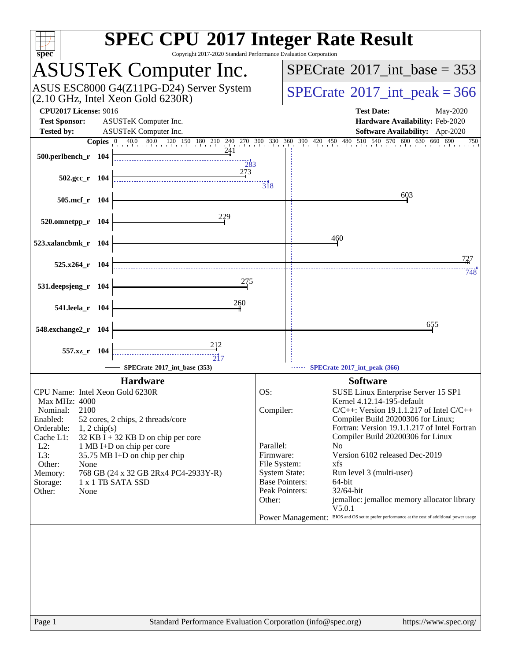| $s\overline{p}\overline{e}\overline{c}$                                                                                                                                                                                                                                                                                                                                                                                                     | <b>SPEC CPU®2017 Integer Rate Result</b><br>Copyright 2017-2020 Standard Performance Evaluation Corporation                                                                                                                                                                                                                                                                                                                                                                                                                                                                                                                                                                         |
|---------------------------------------------------------------------------------------------------------------------------------------------------------------------------------------------------------------------------------------------------------------------------------------------------------------------------------------------------------------------------------------------------------------------------------------------|-------------------------------------------------------------------------------------------------------------------------------------------------------------------------------------------------------------------------------------------------------------------------------------------------------------------------------------------------------------------------------------------------------------------------------------------------------------------------------------------------------------------------------------------------------------------------------------------------------------------------------------------------------------------------------------|
| <b>ASUSTeK Computer Inc.</b>                                                                                                                                                                                                                                                                                                                                                                                                                | $SPECTate$ <sup>®</sup> 2017_int_base = 353                                                                                                                                                                                                                                                                                                                                                                                                                                                                                                                                                                                                                                         |
| ASUS ESC8000 G4(Z11PG-D24) Server System<br>$(2.10 \text{ GHz}, \text{Intel Xeon Gold } 6230\text{R})$                                                                                                                                                                                                                                                                                                                                      | $SPECrate^{\circ}2017\_int\_peak = 366$                                                                                                                                                                                                                                                                                                                                                                                                                                                                                                                                                                                                                                             |
| <b>CPU2017 License: 9016</b><br><b>Test Sponsor:</b><br>ASUSTeK Computer Inc.<br>ASUSTeK Computer Inc.<br><b>Tested by:</b>                                                                                                                                                                                                                                                                                                                 | <b>Test Date:</b><br>May-2020<br>Hardware Availability: Feb-2020<br><b>Software Availability:</b> Apr-2020<br>750                                                                                                                                                                                                                                                                                                                                                                                                                                                                                                                                                                   |
| 241<br>500.perlbench_r 104<br>$\frac{1}{283}$<br>273<br>$502.\text{gcc r}$ 104                                                                                                                                                                                                                                                                                                                                                              | $\overline{318}$                                                                                                                                                                                                                                                                                                                                                                                                                                                                                                                                                                                                                                                                    |
| 505.mcf_r 104                                                                                                                                                                                                                                                                                                                                                                                                                               | 603                                                                                                                                                                                                                                                                                                                                                                                                                                                                                                                                                                                                                                                                                 |
| 229<br>520.omnetpp_r 104<br>523.xalancbmk_r 104                                                                                                                                                                                                                                                                                                                                                                                             | 460                                                                                                                                                                                                                                                                                                                                                                                                                                                                                                                                                                                                                                                                                 |
| $525.x264$ r 104                                                                                                                                                                                                                                                                                                                                                                                                                            | 727                                                                                                                                                                                                                                                                                                                                                                                                                                                                                                                                                                                                                                                                                 |
| 275<br>531.deepsjeng_r 104                                                                                                                                                                                                                                                                                                                                                                                                                  | 748                                                                                                                                                                                                                                                                                                                                                                                                                                                                                                                                                                                                                                                                                 |
| 260<br>541.leela_r 104                                                                                                                                                                                                                                                                                                                                                                                                                      |                                                                                                                                                                                                                                                                                                                                                                                                                                                                                                                                                                                                                                                                                     |
| 548.exchange2_r 104                                                                                                                                                                                                                                                                                                                                                                                                                         | 655                                                                                                                                                                                                                                                                                                                                                                                                                                                                                                                                                                                                                                                                                 |
| 557.xz_r 104<br>$\overline{217}$<br>SPECrate®2017_int_base (353)                                                                                                                                                                                                                                                                                                                                                                            | SPECrate*2017_int_peak (366)                                                                                                                                                                                                                                                                                                                                                                                                                                                                                                                                                                                                                                                        |
|                                                                                                                                                                                                                                                                                                                                                                                                                                             |                                                                                                                                                                                                                                                                                                                                                                                                                                                                                                                                                                                                                                                                                     |
| <b>Hardware</b><br>CPU Name: Intel Xeon Gold 6230R<br><b>Max MHz: 4000</b><br>2100<br>Nominal:<br>Enabled:<br>52 cores, 2 chips, 2 threads/core<br>Orderable:<br>$1, 2$ chip(s)<br>Cache L1:<br>$32$ KB I + 32 KB D on chip per core<br>$L2$ :<br>1 MB I+D on chip per core<br>L3:<br>35.75 MB I+D on chip per chip<br>Other:<br>None<br>Memory:<br>768 GB (24 x 32 GB 2Rx4 PC4-2933Y-R)<br>1 x 1 TB SATA SSD<br>Storage:<br>Other:<br>None | <b>Software</b><br>OS:<br>SUSE Linux Enterprise Server 15 SP1<br>Kernel 4.12.14-195-default<br>$C/C++$ : Version 19.1.1.217 of Intel $C/C++$<br>Compiler:<br>Compiler Build 20200306 for Linux;<br>Fortran: Version 19.1.1.217 of Intel Fortran<br>Compiler Build 20200306 for Linux<br>Parallel:<br>N <sub>0</sub><br>Version 6102 released Dec-2019<br>Firmware:<br>File System:<br>xfs<br><b>System State:</b><br>Run level 3 (multi-user)<br><b>Base Pointers:</b><br>64-bit<br>Peak Pointers:<br>32/64-bit<br>Other:<br>jemalloc: jemalloc memory allocator library<br>V5.0.1<br>Power Management: BIOS and OS set to prefer performance at the cost of additional power usage |
| Page 1                                                                                                                                                                                                                                                                                                                                                                                                                                      | Standard Performance Evaluation Corporation (info@spec.org)<br>https://www.spec.org/                                                                                                                                                                                                                                                                                                                                                                                                                                                                                                                                                                                                |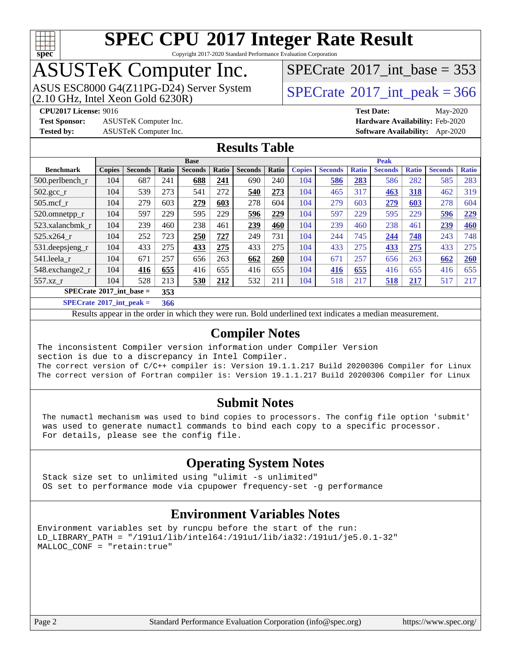

Copyright 2017-2020 Standard Performance Evaluation Corporation

# ASUSTeK Computer Inc.

 $(2.10 \text{ GHz}, \text{Intel Xeon}$  Gold  $6230\text{R})$ ASUS ESC8000 G4(Z11PG-D24) Server System  $\sqrt{\text{SPECrate}^{\otimes}2017\_int\_peak} = 366$  $\sqrt{\text{SPECrate}^{\otimes}2017\_int\_peak} = 366$  $\sqrt{\text{SPECrate}^{\otimes}2017\_int\_peak} = 366$ 

 $SPECTate$ <sup>®</sup>[2017\\_int\\_base =](http://www.spec.org/auto/cpu2017/Docs/result-fields.html#SPECrate2017intbase) 353

**[Test Sponsor:](http://www.spec.org/auto/cpu2017/Docs/result-fields.html#TestSponsor)** ASUSTeK Computer Inc. **[Hardware Availability:](http://www.spec.org/auto/cpu2017/Docs/result-fields.html#HardwareAvailability)** Feb-2020

**[CPU2017 License:](http://www.spec.org/auto/cpu2017/Docs/result-fields.html#CPU2017License)** 9016 **[Test Date:](http://www.spec.org/auto/cpu2017/Docs/result-fields.html#TestDate)** May-2020 **[Tested by:](http://www.spec.org/auto/cpu2017/Docs/result-fields.html#Testedby)** ASUSTeK Computer Inc. **[Software Availability:](http://www.spec.org/auto/cpu2017/Docs/result-fields.html#SoftwareAvailability)** Apr-2020

#### **[Results Table](http://www.spec.org/auto/cpu2017/Docs/result-fields.html#ResultsTable)**

|                                                         | <b>Base</b>   |                |       |                | <b>Peak</b>  |                |       |               |                |              |                |              |                |              |
|---------------------------------------------------------|---------------|----------------|-------|----------------|--------------|----------------|-------|---------------|----------------|--------------|----------------|--------------|----------------|--------------|
| <b>Benchmark</b>                                        | <b>Copies</b> | <b>Seconds</b> | Ratio | <b>Seconds</b> | <b>Ratio</b> | <b>Seconds</b> | Ratio | <b>Copies</b> | <b>Seconds</b> | <b>Ratio</b> | <b>Seconds</b> | <b>Ratio</b> | <b>Seconds</b> | <b>Ratio</b> |
| $500.$ perlbench_r                                      | 104           | 687            | 241   | 688            | 241          | 690            | 240   | 104           | 586            | 283          | 586            | 282          | 585            | 283          |
| $502.\text{sec}$ _r                                     | 104           | 539            | 273   | 541            | 272          | 540            | 273   | 104           | 465            | 317          | 463            | 318          | 462            | 319          |
| $505$ .mcf r                                            | 104           | 279            | 603   | 279            | 603          | 278            | 604   | 104           | 279            | 603          | 279            | 603          | 278            | 604          |
| 520.omnetpp_r                                           | 104           | 597            | 229   | 595            | 229          | 596            | 229   | 104           | 597            | 229          | 595            | 229          | 596            | 229          |
| 523.xalancbmk r                                         | 104           | 239            | 460   | 238            | 461          | 239            | 460   | 104           | 239            | 460          | 238            | 461          | 239            | 460          |
| 525.x264 r                                              | 104           | 252            | 723   | 250            | 727          | 249            | 731   | 104           | 244            | 745          | 244            | 748          | 243            | 748          |
| 531.deepsjeng_r                                         | 104           | 433            | 275   | 433            | 275          | 433            | 275   | 104           | 433            | 275          | 433            | 275          | 433            | 275          |
| 541.leela r                                             | 104           | 671            | 257   | 656            | 263          | 662            | 260   | 104           | 671            | 257          | 656            | 263          | 662            | <b>260</b>   |
| 548.exchange2 r                                         | 104           | 416            | 655   | 416            | 655          | 416            | 655   | 104           | 416            | 655          | 416            | 655          | 416            | 655          |
| 557.xz r                                                | 104           | 528            | 213   | 530            | 212          | 532            | 211   | 104           | 518            | 217          | 518            | 217          | 517            | 217          |
| $SPECrate^{\circ}2017$ int base =<br>353                |               |                |       |                |              |                |       |               |                |              |                |              |                |              |
| $\sim$ $\sim$ $\sim$ $\sim$ $\sim$ $\sim$ $\sim$ $\sim$ |               |                | - - - |                |              |                |       |               |                |              |                |              |                |              |

**[SPECrate](http://www.spec.org/auto/cpu2017/Docs/result-fields.html#SPECrate2017intpeak)[2017\\_int\\_peak =](http://www.spec.org/auto/cpu2017/Docs/result-fields.html#SPECrate2017intpeak) 366**

Results appear in the [order in which they were run](http://www.spec.org/auto/cpu2017/Docs/result-fields.html#RunOrder). Bold underlined text [indicates a median measurement](http://www.spec.org/auto/cpu2017/Docs/result-fields.html#Median).

#### **[Compiler Notes](http://www.spec.org/auto/cpu2017/Docs/result-fields.html#CompilerNotes)**

The inconsistent Compiler version information under Compiler Version section is due to a discrepancy in Intel Compiler. The correct version of C/C++ compiler is: Version 19.1.1.217 Build 20200306 Compiler for Linux The correct version of Fortran compiler is: Version 19.1.1.217 Build 20200306 Compiler for Linux

#### **[Submit Notes](http://www.spec.org/auto/cpu2017/Docs/result-fields.html#SubmitNotes)**

 The numactl mechanism was used to bind copies to processors. The config file option 'submit' was used to generate numactl commands to bind each copy to a specific processor. For details, please see the config file.

### **[Operating System Notes](http://www.spec.org/auto/cpu2017/Docs/result-fields.html#OperatingSystemNotes)**

 Stack size set to unlimited using "ulimit -s unlimited" OS set to performance mode via cpupower frequency-set -g performance

### **[Environment Variables Notes](http://www.spec.org/auto/cpu2017/Docs/result-fields.html#EnvironmentVariablesNotes)**

```
Environment variables set by runcpu before the start of the run:
LD_LIBRARY_PATH = "/191u1/lib/intel64:/191u1/lib/ia32:/191u1/je5.0.1-32"
MALLOC_CONF = "retain:true"
```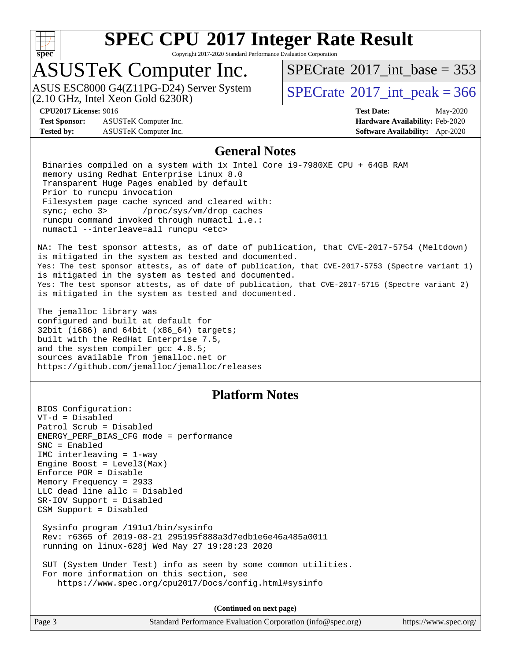

Copyright 2017-2020 Standard Performance Evaluation Corporation

### ASUSTeK Computer Inc.

(2.10 GHz, Intel Xeon Gold 6230R) ASUS ESC8000 G4(Z11PG-D24) Server System  $SPECrate^{\circ}2017$  $SPECrate^{\circ}2017$ \_int\_peak = 366

 $SPECTate$ <sup>®</sup>[2017\\_int\\_base =](http://www.spec.org/auto/cpu2017/Docs/result-fields.html#SPECrate2017intbase) 353

**[Test Sponsor:](http://www.spec.org/auto/cpu2017/Docs/result-fields.html#TestSponsor)** ASUSTeK Computer Inc. **[Hardware Availability:](http://www.spec.org/auto/cpu2017/Docs/result-fields.html#HardwareAvailability)** Feb-2020 **[Tested by:](http://www.spec.org/auto/cpu2017/Docs/result-fields.html#Testedby)** ASUSTeK Computer Inc. **[Software Availability:](http://www.spec.org/auto/cpu2017/Docs/result-fields.html#SoftwareAvailability)** Apr-2020

**[CPU2017 License:](http://www.spec.org/auto/cpu2017/Docs/result-fields.html#CPU2017License)** 9016 **[Test Date:](http://www.spec.org/auto/cpu2017/Docs/result-fields.html#TestDate)** May-2020

#### **[General Notes](http://www.spec.org/auto/cpu2017/Docs/result-fields.html#GeneralNotes)**

 Binaries compiled on a system with 1x Intel Core i9-7980XE CPU + 64GB RAM memory using Redhat Enterprise Linux 8.0 Transparent Huge Pages enabled by default Prior to runcpu invocation Filesystem page cache synced and cleared with: sync; echo 3> /proc/sys/vm/drop\_caches runcpu command invoked through numactl i.e.: numactl --interleave=all runcpu <etc>

NA: The test sponsor attests, as of date of publication, that CVE-2017-5754 (Meltdown) is mitigated in the system as tested and documented. Yes: The test sponsor attests, as of date of publication, that CVE-2017-5753 (Spectre variant 1) is mitigated in the system as tested and documented. Yes: The test sponsor attests, as of date of publication, that CVE-2017-5715 (Spectre variant 2) is mitigated in the system as tested and documented.

The jemalloc library was configured and built at default for 32bit (i686) and 64bit (x86\_64) targets; built with the RedHat Enterprise 7.5, and the system compiler gcc 4.8.5; sources available from jemalloc.net or <https://github.com/jemalloc/jemalloc/releases>

### **[Platform Notes](http://www.spec.org/auto/cpu2017/Docs/result-fields.html#PlatformNotes)**

BIOS Configuration: VT-d = Disabled Patrol Scrub = Disabled ENERGY\_PERF\_BIAS\_CFG mode = performance SNC = Enabled IMC interleaving = 1-way Engine Boost = Level3(Max) Enforce POR = Disable Memory Frequency = 2933 LLC dead line allc = Disabled SR-IOV Support = Disabled CSM Support = Disabled Sysinfo program /191u1/bin/sysinfo Rev: r6365 of 2019-08-21 295195f888a3d7edb1e6e46a485a0011 running on linux-628j Wed May 27 19:28:23 2020 SUT (System Under Test) info as seen by some common utilities. For more information on this section, see

<https://www.spec.org/cpu2017/Docs/config.html#sysinfo>

**(Continued on next page)**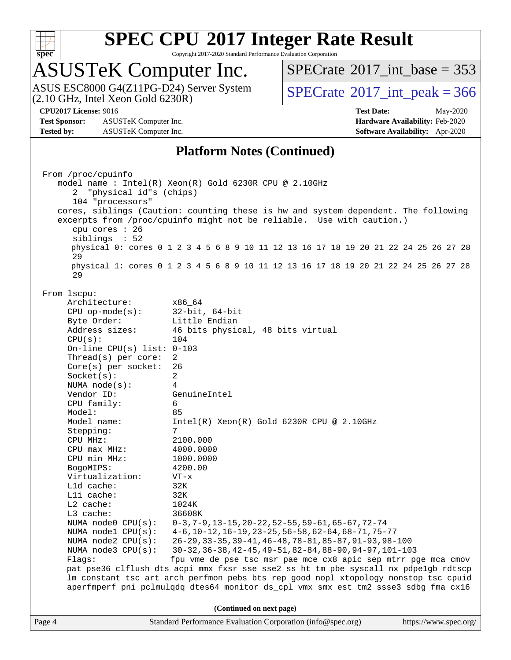

Copyright 2017-2020 Standard Performance Evaluation Corporation

# ASUSTeK Computer Inc.

(2.10 GHz, Intel Xeon Gold 6230R) ASUS ESC8000 G4(Z11PG-D24) Server System  $\vert$  [SPECrate](http://www.spec.org/auto/cpu2017/Docs/result-fields.html#SPECrate2017intpeak) <sup>®</sup>[2017\\_int\\_peak = 3](http://www.spec.org/auto/cpu2017/Docs/result-fields.html#SPECrate2017intpeak)66

 $SPECTate$ <sup>®</sup>[2017\\_int\\_base =](http://www.spec.org/auto/cpu2017/Docs/result-fields.html#SPECrate2017intbase) 353

**[Test Sponsor:](http://www.spec.org/auto/cpu2017/Docs/result-fields.html#TestSponsor)** ASUSTeK Computer Inc. **[Hardware Availability:](http://www.spec.org/auto/cpu2017/Docs/result-fields.html#HardwareAvailability)** Feb-2020 **[Tested by:](http://www.spec.org/auto/cpu2017/Docs/result-fields.html#Testedby)** ASUSTeK Computer Inc. **[Software Availability:](http://www.spec.org/auto/cpu2017/Docs/result-fields.html#SoftwareAvailability)** Apr-2020

**[CPU2017 License:](http://www.spec.org/auto/cpu2017/Docs/result-fields.html#CPU2017License)** 9016 **[Test Date:](http://www.spec.org/auto/cpu2017/Docs/result-fields.html#TestDate)** May-2020

#### **[Platform Notes \(Continued\)](http://www.spec.org/auto/cpu2017/Docs/result-fields.html#PlatformNotes)**

Page 4 Standard Performance Evaluation Corporation [\(info@spec.org\)](mailto:info@spec.org) <https://www.spec.org/> From /proc/cpuinfo model name : Intel(R) Xeon(R) Gold 6230R CPU @ 2.10GHz 2 "physical id"s (chips) 104 "processors" cores, siblings (Caution: counting these is hw and system dependent. The following excerpts from /proc/cpuinfo might not be reliable. Use with caution.) cpu cores : 26 siblings : 52 physical 0: cores 0 1 2 3 4 5 6 8 9 10 11 12 13 16 17 18 19 20 21 22 24 25 26 27 28 29 physical 1: cores 0 1 2 3 4 5 6 8 9 10 11 12 13 16 17 18 19 20 21 22 24 25 26 27 28 29 From lscpu: Architecture: x86\_64<br>CPU op-mode(s): 32-bit, 64-bit CPU op-mode $(s)$ : Byte Order: Little Endian Address sizes: 46 bits physical, 48 bits virtual CPU(s): 104 On-line CPU(s) list: 0-103 Thread(s) per core: 2 Core(s) per socket: 26 Socket(s): 2 NUMA node(s): 4 Vendor ID: GenuineIntel CPU family: 6 Model: 85 Model name: Intel(R) Xeon(R) Gold 6230R CPU @ 2.10GHz Stepping: CPU MHz: 2100.000 CPU max MHz: 4000.0000 CPU min MHz: 1000.0000 BogoMIPS: 4200.00 Virtualization: VT-x L1d cache: 32K L1i cache: 32K L2 cache: 1024K L3 cache: 36608K NUMA node0 CPU(s): 0-3,7-9,13-15,20-22,52-55,59-61,65-67,72-74 NUMA node1 CPU(s): 4-6,10-12,16-19,23-25,56-58,62-64,68-71,75-77 NUMA node2 CPU(s): 26-29,33-35,39-41,46-48,78-81,85-87,91-93,98-100 NUMA node3 CPU(s): 30-32,36-38,42-45,49-51,82-84,88-90,94-97,101-103 Flags: fpu vme de pse tsc msr pae mce cx8 apic sep mtrr pge mca cmov pat pse36 clflush dts acpi mmx fxsr sse sse2 ss ht tm pbe syscall nx pdpe1gb rdtscp lm constant\_tsc art arch\_perfmon pebs bts rep\_good nopl xtopology nonstop\_tsc cpuid aperfmperf pni pclmulqdq dtes64 monitor ds\_cpl vmx smx est tm2 ssse3 sdbg fma cx16 **(Continued on next page)**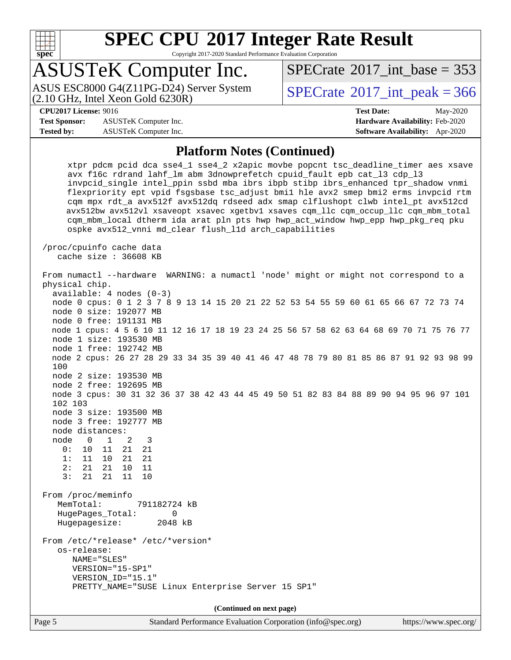

Copyright 2017-2020 Standard Performance Evaluation Corporation

# ASUSTeK Computer Inc.

(2.10 GHz, Intel Xeon Gold 6230R) ASUS ESC8000 G4(Z11PG-D24) Server System  $SPECrate^{\circ}2017$  $SPECrate^{\circ}2017$  int peak = 366

 $SPECTate$ <sup>®</sup>[2017\\_int\\_base =](http://www.spec.org/auto/cpu2017/Docs/result-fields.html#SPECrate2017intbase) 353

**[Test Sponsor:](http://www.spec.org/auto/cpu2017/Docs/result-fields.html#TestSponsor)** ASUSTeK Computer Inc. **[Hardware Availability:](http://www.spec.org/auto/cpu2017/Docs/result-fields.html#HardwareAvailability)** Feb-2020 **[Tested by:](http://www.spec.org/auto/cpu2017/Docs/result-fields.html#Testedby)** ASUSTeK Computer Inc. **[Software Availability:](http://www.spec.org/auto/cpu2017/Docs/result-fields.html#SoftwareAvailability)** Apr-2020

**[CPU2017 License:](http://www.spec.org/auto/cpu2017/Docs/result-fields.html#CPU2017License)** 9016 **[Test Date:](http://www.spec.org/auto/cpu2017/Docs/result-fields.html#TestDate)** May-2020

#### **[Platform Notes \(Continued\)](http://www.spec.org/auto/cpu2017/Docs/result-fields.html#PlatformNotes)**

 xtpr pdcm pcid dca sse4\_1 sse4\_2 x2apic movbe popcnt tsc\_deadline\_timer aes xsave avx f16c rdrand lahf\_lm abm 3dnowprefetch cpuid\_fault epb cat\_l3 cdp\_l3 invpcid\_single intel\_ppin ssbd mba ibrs ibpb stibp ibrs\_enhanced tpr\_shadow vnmi flexpriority ept vpid fsgsbase tsc\_adjust bmi1 hle avx2 smep bmi2 erms invpcid rtm cqm mpx rdt\_a avx512f avx512dq rdseed adx smap clflushopt clwb intel\_pt avx512cd avx512bw avx512vl xsaveopt xsavec xgetbv1 xsaves cqm\_llc cqm\_occup\_llc cqm\_mbm\_total cqm\_mbm\_local dtherm ida arat pln pts hwp hwp\_act\_window hwp\_epp hwp\_pkg\_req pku ospke avx512\_vnni md\_clear flush\_l1d arch\_capabilities

 /proc/cpuinfo cache data cache size : 36608 KB

Page 5 Standard Performance Evaluation Corporation [\(info@spec.org\)](mailto:info@spec.org) <https://www.spec.org/> From numactl --hardware WARNING: a numactl 'node' might or might not correspond to a physical chip. available: 4 nodes (0-3) node 0 cpus: 0 1 2 3 7 8 9 13 14 15 20 21 22 52 53 54 55 59 60 61 65 66 67 72 73 74 node 0 size: 192077 MB node 0 free: 191131 MB node 1 cpus: 4 5 6 10 11 12 16 17 18 19 23 24 25 56 57 58 62 63 64 68 69 70 71 75 76 77 node 1 size: 193530 MB node 1 free: 192742 MB node 2 cpus: 26 27 28 29 33 34 35 39 40 41 46 47 48 78 79 80 81 85 86 87 91 92 93 98 99 100 node 2 size: 193530 MB node 2 free: 192695 MB node 3 cpus: 30 31 32 36 37 38 42 43 44 45 49 50 51 82 83 84 88 89 90 94 95 96 97 101 102 103 node 3 size: 193500 MB node 3 free: 192777 MB node distances: node 0 1 2 3 0: 10 11 21 21 1: 11 10 21 21 2: 21 21 10 11 3: 21 21 11 10 From /proc/meminfo MemTotal: 791182724 kB HugePages\_Total: 0 Hugepagesize: 2048 kB From /etc/\*release\* /etc/\*version\* os-release: NAME="SLES" VERSION="15-SP1" VERSION\_ID="15.1" PRETTY\_NAME="SUSE Linux Enterprise Server 15 SP1" **(Continued on next page)**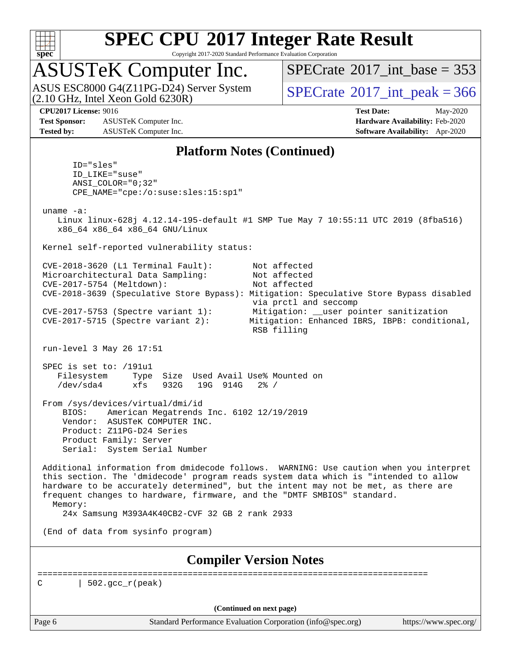

Copyright 2017-2020 Standard Performance Evaluation Corporation

# ASUSTeK Computer Inc.<br>ASUS ESC8000 G4(Z11PG-D24) Server System

 $(2.10 \text{ GHz}, \text{Intel Xeon}$  Gold  $6230\text{R})$ 

 $SPECTate$ <sup>®</sup>[2017\\_int\\_base =](http://www.spec.org/auto/cpu2017/Docs/result-fields.html#SPECrate2017intbase) 353

 $SPECTate@2017_int_ppeak = 366$ 

**[Test Sponsor:](http://www.spec.org/auto/cpu2017/Docs/result-fields.html#TestSponsor)** ASUSTeK Computer Inc. **[Hardware Availability:](http://www.spec.org/auto/cpu2017/Docs/result-fields.html#HardwareAvailability)** Feb-2020 **[Tested by:](http://www.spec.org/auto/cpu2017/Docs/result-fields.html#Testedby)** ASUSTeK Computer Inc. **[Software Availability:](http://www.spec.org/auto/cpu2017/Docs/result-fields.html#SoftwareAvailability)** Apr-2020

**[CPU2017 License:](http://www.spec.org/auto/cpu2017/Docs/result-fields.html#CPU2017License)** 9016 **[Test Date:](http://www.spec.org/auto/cpu2017/Docs/result-fields.html#TestDate)** May-2020

#### **[Platform Notes \(Continued\)](http://www.spec.org/auto/cpu2017/Docs/result-fields.html#PlatformNotes)**

Page 6 Standard Performance Evaluation Corporation [\(info@spec.org\)](mailto:info@spec.org) <https://www.spec.org/> ID="sles" ID\_LIKE="suse" ANSI\_COLOR="0;32" CPE\_NAME="cpe:/o:suse:sles:15:sp1" uname -a: Linux linux-628j 4.12.14-195-default #1 SMP Tue May 7 10:55:11 UTC 2019 (8fba516) x86\_64 x86\_64 x86\_64 GNU/Linux Kernel self-reported vulnerability status: CVE-2018-3620 (L1 Terminal Fault): Not affected Microarchitectural Data Sampling: Not affected CVE-2017-5754 (Meltdown): Not affected CVE-2018-3639 (Speculative Store Bypass): Mitigation: Speculative Store Bypass disabled via prctl and seccomp CVE-2017-5753 (Spectre variant 1): Mitigation: \_\_user pointer sanitization CVE-2017-5715 (Spectre variant 2): Mitigation: Enhanced IBRS, IBPB: conditional, RSB filling run-level 3 May 26 17:51 SPEC is set to: /191u1 Filesystem Type Size Used Avail Use% Mounted on /dev/sda4 xfs 932G 19G 914G 2% / From /sys/devices/virtual/dmi/id BIOS: American Megatrends Inc. 6102 12/19/2019 Vendor: ASUSTeK COMPUTER INC. Product: Z11PG-D24 Series Product Family: Server Serial: System Serial Number Additional information from dmidecode follows. WARNING: Use caution when you interpret this section. The 'dmidecode' program reads system data which is "intended to allow hardware to be accurately determined", but the intent may not be met, as there are frequent changes to hardware, firmware, and the "DMTF SMBIOS" standard. Memory: 24x Samsung M393A4K40CB2-CVF 32 GB 2 rank 2933 (End of data from sysinfo program) **[Compiler Version Notes](http://www.spec.org/auto/cpu2017/Docs/result-fields.html#CompilerVersionNotes)** ============================================================================== C  $| 502 \text{ qcc r}$  (peak) **(Continued on next page)**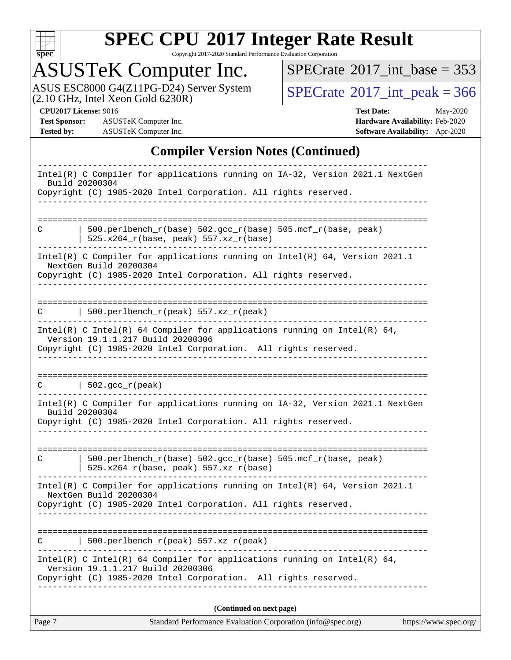

Copyright 2017-2020 Standard Performance Evaluation Corporation

# ASUSTeK Computer Inc.

ASUS ESC8000 G4(Z11PG-D24) Server System  $(2.10 \text{ GHz}, \text{ Intel Xeon Gold } 6230R)$   $\big| \text{ SPECrate}^{\circledR} 2017 \text{ int\_peak} = 366 \big|$  $\big| \text{ SPECrate}^{\circledR} 2017 \text{ int\_peak} = 366 \big|$  $\big| \text{ SPECrate}^{\circledR} 2017 \text{ int\_peak} = 366 \big|$ 

 $SPECrate$ <sup>®</sup>[2017\\_int\\_base =](http://www.spec.org/auto/cpu2017/Docs/result-fields.html#SPECrate2017intbase) 353

**[Test Sponsor:](http://www.spec.org/auto/cpu2017/Docs/result-fields.html#TestSponsor)** ASUSTeK Computer Inc. **[Hardware Availability:](http://www.spec.org/auto/cpu2017/Docs/result-fields.html#HardwareAvailability)** Feb-2020 **[Tested by:](http://www.spec.org/auto/cpu2017/Docs/result-fields.html#Testedby)** ASUSTeK Computer Inc. **[Software Availability:](http://www.spec.org/auto/cpu2017/Docs/result-fields.html#SoftwareAvailability)** Apr-2020

**[CPU2017 License:](http://www.spec.org/auto/cpu2017/Docs/result-fields.html#CPU2017License)** 9016 **[Test Date:](http://www.spec.org/auto/cpu2017/Docs/result-fields.html#TestDate)** May-2020

#### **[Compiler Version Notes \(Continued\)](http://www.spec.org/auto/cpu2017/Docs/result-fields.html#CompilerVersionNotes)**

| Page 7         | Standard Performance Evaluation Corporation (info@spec.org)                                                                                                                                           | https://www.spec.org/ |
|----------------|-------------------------------------------------------------------------------------------------------------------------------------------------------------------------------------------------------|-----------------------|
|                | (Continued on next page)                                                                                                                                                                              |                       |
|                | Intel(R) C Intel(R) 64 Compiler for applications running on Intel(R) 64,<br>Version 19.1.1.217 Build 20200306<br>Copyright (C) 1985-2020 Intel Corporation. All rights reserved.                      |                       |
| C              | 500.perlbench_r(peak) 557.xz_r(peak)                                                                                                                                                                  |                       |
|                | Intel(R) C Compiler for applications running on $Intel(R) 64$ , Version 2021.1<br>NextGen Build 20200304<br>Copyright (C) 1985-2020 Intel Corporation. All rights reserved.                           |                       |
| C              | 500.perlbench_r(base) 502.gcc_r(base) 505.mcf_r(base, peak)<br>$525.x264_r(base, peak) 557.xz_r(base)$                                                                                                |                       |
| Build 20200304 | Intel(R) C Compiler for applications running on IA-32, Version 2021.1 NextGen<br>Copyright (C) 1985-2020 Intel Corporation. All rights reserved.                                                      |                       |
|                | $C \qquad   \quad 502.\text{gcc\_r}(\text{peak})$                                                                                                                                                     |                       |
|                | Intel(R) C Intel(R) 64 Compiler for applications running on Intel(R) 64,<br>Version 19.1.1.217 Build 20200306<br>Copyright (C) 1985-2020 Intel Corporation. All rights reserved.<br>----------------- |                       |
| C              | 500.perlbench_r(peak) 557.xz_r(peak)                                                                                                                                                                  |                       |
|                | Intel(R) C Compiler for applications running on Intel(R) 64, Version 2021.1<br>NextGen Build 20200304<br>Copyright (C) 1985-2020 Intel Corporation. All rights reserved.                              |                       |
| C              | $500. perlbench_r(base) 502. gcc_r(base) 505.mcf_r(base, peak)$<br>$525.x264_r(base, peak) 557.xz_r(base)$                                                                                            |                       |
|                |                                                                                                                                                                                                       |                       |
| Build 20200304 | Intel(R) C Compiler for applications running on IA-32, Version 2021.1 NextGen<br>Copyright (C) 1985-2020 Intel Corporation. All rights reserved.                                                      |                       |
|                |                                                                                                                                                                                                       |                       |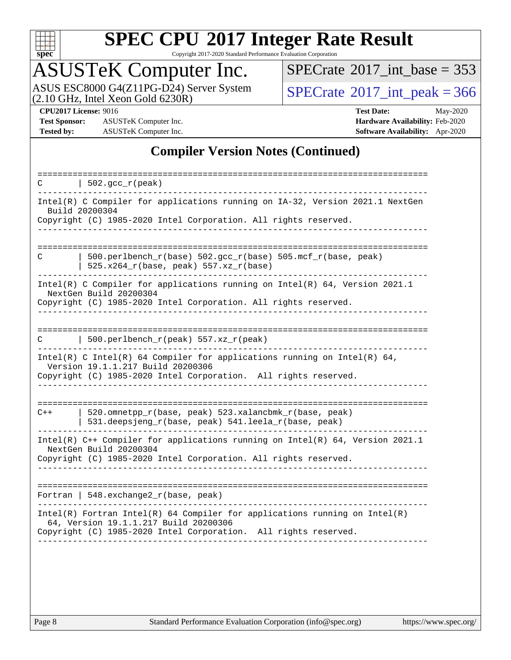

Copyright 2017-2020 Standard Performance Evaluation Corporation

# ASUSTeK Computer Inc.

ASUS ESC8000 G4(Z11PG-D24) Server System<br>(2.10 GHz, Intel Xeon Gold 6230R)

 $SPECrate$ <sup>®</sup>[2017\\_int\\_base =](http://www.spec.org/auto/cpu2017/Docs/result-fields.html#SPECrate2017intbase) 353

 $SPECTate<sup>®</sup>2017_int_p [peak = 366]$ 

**[Test Sponsor:](http://www.spec.org/auto/cpu2017/Docs/result-fields.html#TestSponsor)** ASUSTeK Computer Inc. **[Hardware Availability:](http://www.spec.org/auto/cpu2017/Docs/result-fields.html#HardwareAvailability)** Feb-2020 **[Tested by:](http://www.spec.org/auto/cpu2017/Docs/result-fields.html#Testedby)** ASUSTeK Computer Inc. **[Software Availability:](http://www.spec.org/auto/cpu2017/Docs/result-fields.html#SoftwareAvailability)** Apr-2020

**[CPU2017 License:](http://www.spec.org/auto/cpu2017/Docs/result-fields.html#CPU2017License)** 9016 **[Test Date:](http://www.spec.org/auto/cpu2017/Docs/result-fields.html#TestDate)** May-2020

#### **[Compiler Version Notes \(Continued\)](http://www.spec.org/auto/cpu2017/Docs/result-fields.html#CompilerVersionNotes)**

| C                                                                                                                                                                                        | $  502.\text{gcc_r(peak)}$                                                                                                                                               |  |  |  |  |
|------------------------------------------------------------------------------------------------------------------------------------------------------------------------------------------|--------------------------------------------------------------------------------------------------------------------------------------------------------------------------|--|--|--|--|
| Build 20200304                                                                                                                                                                           | Intel(R) C Compiler for applications running on IA-32, Version 2021.1 NextGen                                                                                            |  |  |  |  |
|                                                                                                                                                                                          | Copyright (C) 1985-2020 Intel Corporation. All rights reserved.                                                                                                          |  |  |  |  |
|                                                                                                                                                                                          |                                                                                                                                                                          |  |  |  |  |
| C                                                                                                                                                                                        | 500.perlbench_r(base) 502.gcc_r(base) 505.mcf_r(base, peak)<br>525.x264_r(base, peak) 557.xz_r(base)                                                                     |  |  |  |  |
|                                                                                                                                                                                          | Intel(R) C Compiler for applications running on Intel(R) 64, Version 2021.1<br>NextGen Build 20200304<br>Copyright (C) 1985-2020 Intel Corporation. All rights reserved. |  |  |  |  |
|                                                                                                                                                                                          |                                                                                                                                                                          |  |  |  |  |
|                                                                                                                                                                                          | 500.perlbench_r(peak) 557.xz_r(peak)                                                                                                                                     |  |  |  |  |
| Intel(R) C Intel(R) 64 Compiler for applications running on Intel(R) 64,<br>Version 19.1.1.217 Build 20200306<br>Copyright (C) 1985-2020 Intel Corporation. All rights reserved.         |                                                                                                                                                                          |  |  |  |  |
|                                                                                                                                                                                          |                                                                                                                                                                          |  |  |  |  |
|                                                                                                                                                                                          |                                                                                                                                                                          |  |  |  |  |
| $C++$                                                                                                                                                                                    | 520.omnetpp_r(base, peak) 523.xalancbmk_r(base, peak)<br>531.deepsjeng_r(base, peak) 541.leela_r(base, peak)                                                             |  |  |  |  |
| Intel(R) $C++$ Compiler for applications running on Intel(R) 64, Version 2021.1<br>NextGen Build 20200304<br>Copyright (C) 1985-2020 Intel Corporation. All rights reserved.             |                                                                                                                                                                          |  |  |  |  |
|                                                                                                                                                                                          |                                                                                                                                                                          |  |  |  |  |
| Fortran   $548$ . exchange $2r$ (base, peak)                                                                                                                                             |                                                                                                                                                                          |  |  |  |  |
| $Intel(R)$ Fortran Intel(R) 64 Compiler for applications running on Intel(R)<br>64, Version 19.1.1.217 Build 20200306<br>Copyright (C) 1985-2020 Intel Corporation. All rights reserved. |                                                                                                                                                                          |  |  |  |  |
|                                                                                                                                                                                          |                                                                                                                                                                          |  |  |  |  |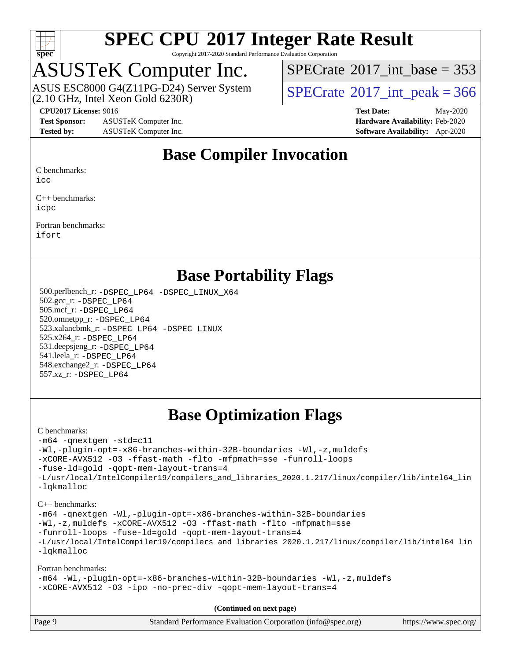

Copyright 2017-2020 Standard Performance Evaluation Corporation

# ASUSTeK Computer Inc.<br>ASUS ESC8000 G4(Z11PG-D24) Server System

(2.10 GHz, Intel Xeon Gold 6230R)

 $SPECTate$ <sup>®</sup>[2017\\_int\\_base =](http://www.spec.org/auto/cpu2017/Docs/result-fields.html#SPECrate2017intbase) 353

 $SPECTate@2017_int_ppeak = 366$ 

**[Test Sponsor:](http://www.spec.org/auto/cpu2017/Docs/result-fields.html#TestSponsor)** ASUSTeK Computer Inc. **[Hardware Availability:](http://www.spec.org/auto/cpu2017/Docs/result-fields.html#HardwareAvailability)** Feb-2020 **[Tested by:](http://www.spec.org/auto/cpu2017/Docs/result-fields.html#Testedby)** ASUSTeK Computer Inc. **[Software Availability:](http://www.spec.org/auto/cpu2017/Docs/result-fields.html#SoftwareAvailability)** Apr-2020

**[CPU2017 License:](http://www.spec.org/auto/cpu2017/Docs/result-fields.html#CPU2017License)** 9016 **[Test Date:](http://www.spec.org/auto/cpu2017/Docs/result-fields.html#TestDate)** May-2020

### **[Base Compiler Invocation](http://www.spec.org/auto/cpu2017/Docs/result-fields.html#BaseCompilerInvocation)**

[C benchmarks:](http://www.spec.org/auto/cpu2017/Docs/result-fields.html#Cbenchmarks)

[icc](http://www.spec.org/cpu2017/results/res2020q3/cpu2017-20200608-22598.flags.html#user_CCbase_intel_icc_66fc1ee009f7361af1fbd72ca7dcefbb700085f36577c54f309893dd4ec40d12360134090235512931783d35fd58c0460139e722d5067c5574d8eaf2b3e37e92)

[C++ benchmarks:](http://www.spec.org/auto/cpu2017/Docs/result-fields.html#CXXbenchmarks) [icpc](http://www.spec.org/cpu2017/results/res2020q3/cpu2017-20200608-22598.flags.html#user_CXXbase_intel_icpc_c510b6838c7f56d33e37e94d029a35b4a7bccf4766a728ee175e80a419847e808290a9b78be685c44ab727ea267ec2f070ec5dc83b407c0218cded6866a35d07)

[Fortran benchmarks](http://www.spec.org/auto/cpu2017/Docs/result-fields.html#Fortranbenchmarks): [ifort](http://www.spec.org/cpu2017/results/res2020q3/cpu2017-20200608-22598.flags.html#user_FCbase_intel_ifort_8111460550e3ca792625aed983ce982f94888b8b503583aa7ba2b8303487b4d8a21a13e7191a45c5fd58ff318f48f9492884d4413fa793fd88dd292cad7027ca)

### **[Base Portability Flags](http://www.spec.org/auto/cpu2017/Docs/result-fields.html#BasePortabilityFlags)**

 500.perlbench\_r: [-DSPEC\\_LP64](http://www.spec.org/cpu2017/results/res2020q3/cpu2017-20200608-22598.flags.html#b500.perlbench_r_basePORTABILITY_DSPEC_LP64) [-DSPEC\\_LINUX\\_X64](http://www.spec.org/cpu2017/results/res2020q3/cpu2017-20200608-22598.flags.html#b500.perlbench_r_baseCPORTABILITY_DSPEC_LINUX_X64) 502.gcc\_r: [-DSPEC\\_LP64](http://www.spec.org/cpu2017/results/res2020q3/cpu2017-20200608-22598.flags.html#suite_basePORTABILITY502_gcc_r_DSPEC_LP64) 505.mcf\_r: [-DSPEC\\_LP64](http://www.spec.org/cpu2017/results/res2020q3/cpu2017-20200608-22598.flags.html#suite_basePORTABILITY505_mcf_r_DSPEC_LP64) 520.omnetpp\_r: [-DSPEC\\_LP64](http://www.spec.org/cpu2017/results/res2020q3/cpu2017-20200608-22598.flags.html#suite_basePORTABILITY520_omnetpp_r_DSPEC_LP64) 523.xalancbmk\_r: [-DSPEC\\_LP64](http://www.spec.org/cpu2017/results/res2020q3/cpu2017-20200608-22598.flags.html#suite_basePORTABILITY523_xalancbmk_r_DSPEC_LP64) [-DSPEC\\_LINUX](http://www.spec.org/cpu2017/results/res2020q3/cpu2017-20200608-22598.flags.html#b523.xalancbmk_r_baseCXXPORTABILITY_DSPEC_LINUX) 525.x264\_r: [-DSPEC\\_LP64](http://www.spec.org/cpu2017/results/res2020q3/cpu2017-20200608-22598.flags.html#suite_basePORTABILITY525_x264_r_DSPEC_LP64) 531.deepsjeng\_r: [-DSPEC\\_LP64](http://www.spec.org/cpu2017/results/res2020q3/cpu2017-20200608-22598.flags.html#suite_basePORTABILITY531_deepsjeng_r_DSPEC_LP64) 541.leela\_r: [-DSPEC\\_LP64](http://www.spec.org/cpu2017/results/res2020q3/cpu2017-20200608-22598.flags.html#suite_basePORTABILITY541_leela_r_DSPEC_LP64) 548.exchange2\_r: [-DSPEC\\_LP64](http://www.spec.org/cpu2017/results/res2020q3/cpu2017-20200608-22598.flags.html#suite_basePORTABILITY548_exchange2_r_DSPEC_LP64) 557.xz\_r: [-DSPEC\\_LP64](http://www.spec.org/cpu2017/results/res2020q3/cpu2017-20200608-22598.flags.html#suite_basePORTABILITY557_xz_r_DSPEC_LP64)

### **[Base Optimization Flags](http://www.spec.org/auto/cpu2017/Docs/result-fields.html#BaseOptimizationFlags)**

#### [C benchmarks](http://www.spec.org/auto/cpu2017/Docs/result-fields.html#Cbenchmarks):

[-m64](http://www.spec.org/cpu2017/results/res2020q3/cpu2017-20200608-22598.flags.html#user_CCbase_m64-icc) [-qnextgen](http://www.spec.org/cpu2017/results/res2020q3/cpu2017-20200608-22598.flags.html#user_CCbase_f-qnextgen) [-std=c11](http://www.spec.org/cpu2017/results/res2020q3/cpu2017-20200608-22598.flags.html#user_CCbase_std-icc-std_0e1c27790398a4642dfca32ffe6c27b5796f9c2d2676156f2e42c9c44eaad0c049b1cdb667a270c34d979996257aeb8fc440bfb01818dbc9357bd9d174cb8524) [-Wl,-plugin-opt=-x86-branches-within-32B-boundaries](http://www.spec.org/cpu2017/results/res2020q3/cpu2017-20200608-22598.flags.html#user_CCbase_f-x86-branches-within-32B-boundaries_0098b4e4317ae60947b7b728078a624952a08ac37a3c797dfb4ffeb399e0c61a9dd0f2f44ce917e9361fb9076ccb15e7824594512dd315205382d84209e912f3) [-Wl,-z,muldefs](http://www.spec.org/cpu2017/results/res2020q3/cpu2017-20200608-22598.flags.html#user_CCbase_link_force_multiple1_b4cbdb97b34bdee9ceefcfe54f4c8ea74255f0b02a4b23e853cdb0e18eb4525ac79b5a88067c842dd0ee6996c24547a27a4b99331201badda8798ef8a743f577) [-xCORE-AVX512](http://www.spec.org/cpu2017/results/res2020q3/cpu2017-20200608-22598.flags.html#user_CCbase_f-xCORE-AVX512) [-O3](http://www.spec.org/cpu2017/results/res2020q3/cpu2017-20200608-22598.flags.html#user_CCbase_f-O3) [-ffast-math](http://www.spec.org/cpu2017/results/res2020q3/cpu2017-20200608-22598.flags.html#user_CCbase_f-ffast-math) [-flto](http://www.spec.org/cpu2017/results/res2020q3/cpu2017-20200608-22598.flags.html#user_CCbase_f-flto) [-mfpmath=sse](http://www.spec.org/cpu2017/results/res2020q3/cpu2017-20200608-22598.flags.html#user_CCbase_f-mfpmath_70eb8fac26bde974f8ab713bc9086c5621c0b8d2f6c86f38af0bd7062540daf19db5f3a066d8c6684be05d84c9b6322eb3b5be6619d967835195b93d6c02afa1) [-funroll-loops](http://www.spec.org/cpu2017/results/res2020q3/cpu2017-20200608-22598.flags.html#user_CCbase_f-funroll-loops) [-fuse-ld=gold](http://www.spec.org/cpu2017/results/res2020q3/cpu2017-20200608-22598.flags.html#user_CCbase_f-fuse-ld_920b3586e2b8c6e0748b9c84fa9b744736ba725a32cab14ad8f3d4ad28eecb2f59d1144823d2e17006539a88734fe1fc08fc3035f7676166309105a78aaabc32) [-qopt-mem-layout-trans=4](http://www.spec.org/cpu2017/results/res2020q3/cpu2017-20200608-22598.flags.html#user_CCbase_f-qopt-mem-layout-trans_fa39e755916c150a61361b7846f310bcdf6f04e385ef281cadf3647acec3f0ae266d1a1d22d972a7087a248fd4e6ca390a3634700869573d231a252c784941a8) [-L/usr/local/IntelCompiler19/compilers\\_and\\_libraries\\_2020.1.217/linux/compiler/lib/intel64\\_lin](http://www.spec.org/cpu2017/results/res2020q3/cpu2017-20200608-22598.flags.html#user_CCbase_linkpath_2cb6f503891ebf8baee7515f4e7d4ec1217444d1d05903cc0091ac4158de400651d2b2313a9fa414cb8a8f0e16ab029634f5c6db340f400369c190d4db8a54a0) [-lqkmalloc](http://www.spec.org/cpu2017/results/res2020q3/cpu2017-20200608-22598.flags.html#user_CCbase_qkmalloc_link_lib_79a818439969f771c6bc311cfd333c00fc099dad35c030f5aab9dda831713d2015205805422f83de8875488a2991c0a156aaa600e1f9138f8fc37004abc96dc5)

#### [C++ benchmarks](http://www.spec.org/auto/cpu2017/Docs/result-fields.html#CXXbenchmarks):

[-m64](http://www.spec.org/cpu2017/results/res2020q3/cpu2017-20200608-22598.flags.html#user_CXXbase_m64-icc) [-qnextgen](http://www.spec.org/cpu2017/results/res2020q3/cpu2017-20200608-22598.flags.html#user_CXXbase_f-qnextgen) [-Wl,-plugin-opt=-x86-branches-within-32B-boundaries](http://www.spec.org/cpu2017/results/res2020q3/cpu2017-20200608-22598.flags.html#user_CXXbase_f-x86-branches-within-32B-boundaries_0098b4e4317ae60947b7b728078a624952a08ac37a3c797dfb4ffeb399e0c61a9dd0f2f44ce917e9361fb9076ccb15e7824594512dd315205382d84209e912f3) [-Wl,-z,muldefs](http://www.spec.org/cpu2017/results/res2020q3/cpu2017-20200608-22598.flags.html#user_CXXbase_link_force_multiple1_b4cbdb97b34bdee9ceefcfe54f4c8ea74255f0b02a4b23e853cdb0e18eb4525ac79b5a88067c842dd0ee6996c24547a27a4b99331201badda8798ef8a743f577) [-xCORE-AVX512](http://www.spec.org/cpu2017/results/res2020q3/cpu2017-20200608-22598.flags.html#user_CXXbase_f-xCORE-AVX512) [-O3](http://www.spec.org/cpu2017/results/res2020q3/cpu2017-20200608-22598.flags.html#user_CXXbase_f-O3) [-ffast-math](http://www.spec.org/cpu2017/results/res2020q3/cpu2017-20200608-22598.flags.html#user_CXXbase_f-ffast-math) [-flto](http://www.spec.org/cpu2017/results/res2020q3/cpu2017-20200608-22598.flags.html#user_CXXbase_f-flto) [-mfpmath=sse](http://www.spec.org/cpu2017/results/res2020q3/cpu2017-20200608-22598.flags.html#user_CXXbase_f-mfpmath_70eb8fac26bde974f8ab713bc9086c5621c0b8d2f6c86f38af0bd7062540daf19db5f3a066d8c6684be05d84c9b6322eb3b5be6619d967835195b93d6c02afa1) [-funroll-loops](http://www.spec.org/cpu2017/results/res2020q3/cpu2017-20200608-22598.flags.html#user_CXXbase_f-funroll-loops) [-fuse-ld=gold](http://www.spec.org/cpu2017/results/res2020q3/cpu2017-20200608-22598.flags.html#user_CXXbase_f-fuse-ld_920b3586e2b8c6e0748b9c84fa9b744736ba725a32cab14ad8f3d4ad28eecb2f59d1144823d2e17006539a88734fe1fc08fc3035f7676166309105a78aaabc32) [-qopt-mem-layout-trans=4](http://www.spec.org/cpu2017/results/res2020q3/cpu2017-20200608-22598.flags.html#user_CXXbase_f-qopt-mem-layout-trans_fa39e755916c150a61361b7846f310bcdf6f04e385ef281cadf3647acec3f0ae266d1a1d22d972a7087a248fd4e6ca390a3634700869573d231a252c784941a8) [-L/usr/local/IntelCompiler19/compilers\\_and\\_libraries\\_2020.1.217/linux/compiler/lib/intel64\\_lin](http://www.spec.org/cpu2017/results/res2020q3/cpu2017-20200608-22598.flags.html#user_CXXbase_linkpath_2cb6f503891ebf8baee7515f4e7d4ec1217444d1d05903cc0091ac4158de400651d2b2313a9fa414cb8a8f0e16ab029634f5c6db340f400369c190d4db8a54a0) [-lqkmalloc](http://www.spec.org/cpu2017/results/res2020q3/cpu2017-20200608-22598.flags.html#user_CXXbase_qkmalloc_link_lib_79a818439969f771c6bc311cfd333c00fc099dad35c030f5aab9dda831713d2015205805422f83de8875488a2991c0a156aaa600e1f9138f8fc37004abc96dc5)

#### [Fortran benchmarks:](http://www.spec.org/auto/cpu2017/Docs/result-fields.html#Fortranbenchmarks)

[-m64](http://www.spec.org/cpu2017/results/res2020q3/cpu2017-20200608-22598.flags.html#user_FCbase_m64-icc) [-Wl,-plugin-opt=-x86-branches-within-32B-boundaries](http://www.spec.org/cpu2017/results/res2020q3/cpu2017-20200608-22598.flags.html#user_FCbase_f-x86-branches-within-32B-boundaries_0098b4e4317ae60947b7b728078a624952a08ac37a3c797dfb4ffeb399e0c61a9dd0f2f44ce917e9361fb9076ccb15e7824594512dd315205382d84209e912f3) [-Wl,-z,muldefs](http://www.spec.org/cpu2017/results/res2020q3/cpu2017-20200608-22598.flags.html#user_FCbase_link_force_multiple1_b4cbdb97b34bdee9ceefcfe54f4c8ea74255f0b02a4b23e853cdb0e18eb4525ac79b5a88067c842dd0ee6996c24547a27a4b99331201badda8798ef8a743f577) [-xCORE-AVX512](http://www.spec.org/cpu2017/results/res2020q3/cpu2017-20200608-22598.flags.html#user_FCbase_f-xCORE-AVX512) [-O3](http://www.spec.org/cpu2017/results/res2020q3/cpu2017-20200608-22598.flags.html#user_FCbase_f-O3) [-ipo](http://www.spec.org/cpu2017/results/res2020q3/cpu2017-20200608-22598.flags.html#user_FCbase_f-ipo) [-no-prec-div](http://www.spec.org/cpu2017/results/res2020q3/cpu2017-20200608-22598.flags.html#user_FCbase_f-no-prec-div) [-qopt-mem-layout-trans=4](http://www.spec.org/cpu2017/results/res2020q3/cpu2017-20200608-22598.flags.html#user_FCbase_f-qopt-mem-layout-trans_fa39e755916c150a61361b7846f310bcdf6f04e385ef281cadf3647acec3f0ae266d1a1d22d972a7087a248fd4e6ca390a3634700869573d231a252c784941a8)

**(Continued on next page)**

| Page 9 | Standard Performance Evaluation Corporation (info@spec.org) | https://www.spec.org/ |
|--------|-------------------------------------------------------------|-----------------------|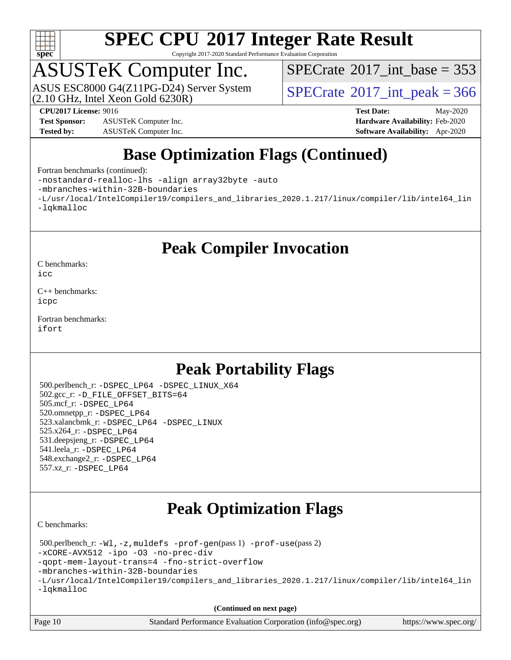

Copyright 2017-2020 Standard Performance Evaluation Corporation

# ASUSTeK Computer Inc.

(2.10 GHz, Intel Xeon Gold 6230R) ASUS ESC8000 G4(Z11PG-D24) Server System  $SPECrate^{\circ}2017$  $SPECrate^{\circ}2017$ \_int\_peak = 366

 $SPECrate$ <sup>®</sup>[2017\\_int\\_base =](http://www.spec.org/auto/cpu2017/Docs/result-fields.html#SPECrate2017intbase) 353

**[Test Sponsor:](http://www.spec.org/auto/cpu2017/Docs/result-fields.html#TestSponsor)** ASUSTeK Computer Inc. **[Hardware Availability:](http://www.spec.org/auto/cpu2017/Docs/result-fields.html#HardwareAvailability)** Feb-2020 **[Tested by:](http://www.spec.org/auto/cpu2017/Docs/result-fields.html#Testedby)** ASUSTeK Computer Inc. **[Software Availability:](http://www.spec.org/auto/cpu2017/Docs/result-fields.html#SoftwareAvailability)** Apr-2020

**[CPU2017 License:](http://www.spec.org/auto/cpu2017/Docs/result-fields.html#CPU2017License)** 9016 **[Test Date:](http://www.spec.org/auto/cpu2017/Docs/result-fields.html#TestDate)** May-2020

### **[Base Optimization Flags \(Continued\)](http://www.spec.org/auto/cpu2017/Docs/result-fields.html#BaseOptimizationFlags)**

[Fortran benchmarks](http://www.spec.org/auto/cpu2017/Docs/result-fields.html#Fortranbenchmarks) (continued):

[-nostandard-realloc-lhs](http://www.spec.org/cpu2017/results/res2020q3/cpu2017-20200608-22598.flags.html#user_FCbase_f_2003_std_realloc_82b4557e90729c0f113870c07e44d33d6f5a304b4f63d4c15d2d0f1fab99f5daaed73bdb9275d9ae411527f28b936061aa8b9c8f2d63842963b95c9dd6426b8a) [-align array32byte](http://www.spec.org/cpu2017/results/res2020q3/cpu2017-20200608-22598.flags.html#user_FCbase_align_array32byte_b982fe038af199962ba9a80c053b8342c548c85b40b8e86eb3cc33dee0d7986a4af373ac2d51c3f7cf710a18d62fdce2948f201cd044323541f22fc0fffc51b6) [-auto](http://www.spec.org/cpu2017/results/res2020q3/cpu2017-20200608-22598.flags.html#user_FCbase_f-auto)

[-mbranches-within-32B-boundaries](http://www.spec.org/cpu2017/results/res2020q3/cpu2017-20200608-22598.flags.html#user_FCbase_f-mbranches-within-32B-boundaries)

[-L/usr/local/IntelCompiler19/compilers\\_and\\_libraries\\_2020.1.217/linux/compiler/lib/intel64\\_lin](http://www.spec.org/cpu2017/results/res2020q3/cpu2017-20200608-22598.flags.html#user_FCbase_linkpath_2cb6f503891ebf8baee7515f4e7d4ec1217444d1d05903cc0091ac4158de400651d2b2313a9fa414cb8a8f0e16ab029634f5c6db340f400369c190d4db8a54a0) [-lqkmalloc](http://www.spec.org/cpu2017/results/res2020q3/cpu2017-20200608-22598.flags.html#user_FCbase_qkmalloc_link_lib_79a818439969f771c6bc311cfd333c00fc099dad35c030f5aab9dda831713d2015205805422f83de8875488a2991c0a156aaa600e1f9138f8fc37004abc96dc5)

**[Peak Compiler Invocation](http://www.spec.org/auto/cpu2017/Docs/result-fields.html#PeakCompilerInvocation)**

[C benchmarks](http://www.spec.org/auto/cpu2017/Docs/result-fields.html#Cbenchmarks): [icc](http://www.spec.org/cpu2017/results/res2020q3/cpu2017-20200608-22598.flags.html#user_CCpeak_intel_icc_66fc1ee009f7361af1fbd72ca7dcefbb700085f36577c54f309893dd4ec40d12360134090235512931783d35fd58c0460139e722d5067c5574d8eaf2b3e37e92)

[C++ benchmarks:](http://www.spec.org/auto/cpu2017/Docs/result-fields.html#CXXbenchmarks) [icpc](http://www.spec.org/cpu2017/results/res2020q3/cpu2017-20200608-22598.flags.html#user_CXXpeak_intel_icpc_c510b6838c7f56d33e37e94d029a35b4a7bccf4766a728ee175e80a419847e808290a9b78be685c44ab727ea267ec2f070ec5dc83b407c0218cded6866a35d07)

[Fortran benchmarks](http://www.spec.org/auto/cpu2017/Docs/result-fields.html#Fortranbenchmarks): [ifort](http://www.spec.org/cpu2017/results/res2020q3/cpu2017-20200608-22598.flags.html#user_FCpeak_intel_ifort_8111460550e3ca792625aed983ce982f94888b8b503583aa7ba2b8303487b4d8a21a13e7191a45c5fd58ff318f48f9492884d4413fa793fd88dd292cad7027ca)

### **[Peak Portability Flags](http://www.spec.org/auto/cpu2017/Docs/result-fields.html#PeakPortabilityFlags)**

 500.perlbench\_r: [-DSPEC\\_LP64](http://www.spec.org/cpu2017/results/res2020q3/cpu2017-20200608-22598.flags.html#b500.perlbench_r_peakPORTABILITY_DSPEC_LP64) [-DSPEC\\_LINUX\\_X64](http://www.spec.org/cpu2017/results/res2020q3/cpu2017-20200608-22598.flags.html#b500.perlbench_r_peakCPORTABILITY_DSPEC_LINUX_X64) 502.gcc\_r: [-D\\_FILE\\_OFFSET\\_BITS=64](http://www.spec.org/cpu2017/results/res2020q3/cpu2017-20200608-22598.flags.html#user_peakPORTABILITY502_gcc_r_file_offset_bits_64_5ae949a99b284ddf4e95728d47cb0843d81b2eb0e18bdfe74bbf0f61d0b064f4bda2f10ea5eb90e1dcab0e84dbc592acfc5018bc955c18609f94ddb8d550002c) 505.mcf\_r: [-DSPEC\\_LP64](http://www.spec.org/cpu2017/results/res2020q3/cpu2017-20200608-22598.flags.html#suite_peakPORTABILITY505_mcf_r_DSPEC_LP64) 520.omnetpp\_r: [-DSPEC\\_LP64](http://www.spec.org/cpu2017/results/res2020q3/cpu2017-20200608-22598.flags.html#suite_peakPORTABILITY520_omnetpp_r_DSPEC_LP64) 523.xalancbmk\_r: [-DSPEC\\_LP64](http://www.spec.org/cpu2017/results/res2020q3/cpu2017-20200608-22598.flags.html#suite_peakPORTABILITY523_xalancbmk_r_DSPEC_LP64) [-DSPEC\\_LINUX](http://www.spec.org/cpu2017/results/res2020q3/cpu2017-20200608-22598.flags.html#b523.xalancbmk_r_peakCXXPORTABILITY_DSPEC_LINUX) 525.x264\_r: [-DSPEC\\_LP64](http://www.spec.org/cpu2017/results/res2020q3/cpu2017-20200608-22598.flags.html#suite_peakPORTABILITY525_x264_r_DSPEC_LP64) 531.deepsjeng\_r: [-DSPEC\\_LP64](http://www.spec.org/cpu2017/results/res2020q3/cpu2017-20200608-22598.flags.html#suite_peakPORTABILITY531_deepsjeng_r_DSPEC_LP64) 541.leela\_r: [-DSPEC\\_LP64](http://www.spec.org/cpu2017/results/res2020q3/cpu2017-20200608-22598.flags.html#suite_peakPORTABILITY541_leela_r_DSPEC_LP64) 548.exchange2\_r: [-DSPEC\\_LP64](http://www.spec.org/cpu2017/results/res2020q3/cpu2017-20200608-22598.flags.html#suite_peakPORTABILITY548_exchange2_r_DSPEC_LP64) 557.xz\_r: [-DSPEC\\_LP64](http://www.spec.org/cpu2017/results/res2020q3/cpu2017-20200608-22598.flags.html#suite_peakPORTABILITY557_xz_r_DSPEC_LP64)

### **[Peak Optimization Flags](http://www.spec.org/auto/cpu2017/Docs/result-fields.html#PeakOptimizationFlags)**

[C benchmarks](http://www.spec.org/auto/cpu2017/Docs/result-fields.html#Cbenchmarks):

 500.perlbench\_r: [-Wl,-z,muldefs](http://www.spec.org/cpu2017/results/res2020q3/cpu2017-20200608-22598.flags.html#user_peakEXTRA_LDFLAGS500_perlbench_r_link_force_multiple1_b4cbdb97b34bdee9ceefcfe54f4c8ea74255f0b02a4b23e853cdb0e18eb4525ac79b5a88067c842dd0ee6996c24547a27a4b99331201badda8798ef8a743f577) [-prof-gen](http://www.spec.org/cpu2017/results/res2020q3/cpu2017-20200608-22598.flags.html#user_peakPASS1_CFLAGSPASS1_LDFLAGS500_perlbench_r_prof_gen_5aa4926d6013ddb2a31985c654b3eb18169fc0c6952a63635c234f711e6e63dd76e94ad52365559451ec499a2cdb89e4dc58ba4c67ef54ca681ffbe1461d6b36)(pass 1) [-prof-use](http://www.spec.org/cpu2017/results/res2020q3/cpu2017-20200608-22598.flags.html#user_peakPASS2_CFLAGSPASS2_LDFLAGS500_perlbench_r_prof_use_1a21ceae95f36a2b53c25747139a6c16ca95bd9def2a207b4f0849963b97e94f5260e30a0c64f4bb623698870e679ca08317ef8150905d41bd88c6f78df73f19)(pass 2) [-xCORE-AVX512](http://www.spec.org/cpu2017/results/res2020q3/cpu2017-20200608-22598.flags.html#user_peakCOPTIMIZE500_perlbench_r_f-xCORE-AVX512) [-ipo](http://www.spec.org/cpu2017/results/res2020q3/cpu2017-20200608-22598.flags.html#user_peakCOPTIMIZE500_perlbench_r_f-ipo) [-O3](http://www.spec.org/cpu2017/results/res2020q3/cpu2017-20200608-22598.flags.html#user_peakCOPTIMIZE500_perlbench_r_f-O3) [-no-prec-div](http://www.spec.org/cpu2017/results/res2020q3/cpu2017-20200608-22598.flags.html#user_peakCOPTIMIZE500_perlbench_r_f-no-prec-div) [-qopt-mem-layout-trans=4](http://www.spec.org/cpu2017/results/res2020q3/cpu2017-20200608-22598.flags.html#user_peakCOPTIMIZE500_perlbench_r_f-qopt-mem-layout-trans_fa39e755916c150a61361b7846f310bcdf6f04e385ef281cadf3647acec3f0ae266d1a1d22d972a7087a248fd4e6ca390a3634700869573d231a252c784941a8) [-fno-strict-overflow](http://www.spec.org/cpu2017/results/res2020q3/cpu2017-20200608-22598.flags.html#user_peakEXTRA_OPTIMIZE500_perlbench_r_f-fno-strict-overflow) [-mbranches-within-32B-boundaries](http://www.spec.org/cpu2017/results/res2020q3/cpu2017-20200608-22598.flags.html#user_peakEXTRA_COPTIMIZE500_perlbench_r_f-mbranches-within-32B-boundaries) [-L/usr/local/IntelCompiler19/compilers\\_and\\_libraries\\_2020.1.217/linux/compiler/lib/intel64\\_lin](http://www.spec.org/cpu2017/results/res2020q3/cpu2017-20200608-22598.flags.html#user_peakEXTRA_LIBS500_perlbench_r_linkpath_2cb6f503891ebf8baee7515f4e7d4ec1217444d1d05903cc0091ac4158de400651d2b2313a9fa414cb8a8f0e16ab029634f5c6db340f400369c190d4db8a54a0) [-lqkmalloc](http://www.spec.org/cpu2017/results/res2020q3/cpu2017-20200608-22598.flags.html#user_peakEXTRA_LIBS500_perlbench_r_qkmalloc_link_lib_79a818439969f771c6bc311cfd333c00fc099dad35c030f5aab9dda831713d2015205805422f83de8875488a2991c0a156aaa600e1f9138f8fc37004abc96dc5)

**(Continued on next page)**

| Page 10 | Standard Performance Evaluation Corporation (info@spec.org) | https://www.spec.org/ |
|---------|-------------------------------------------------------------|-----------------------|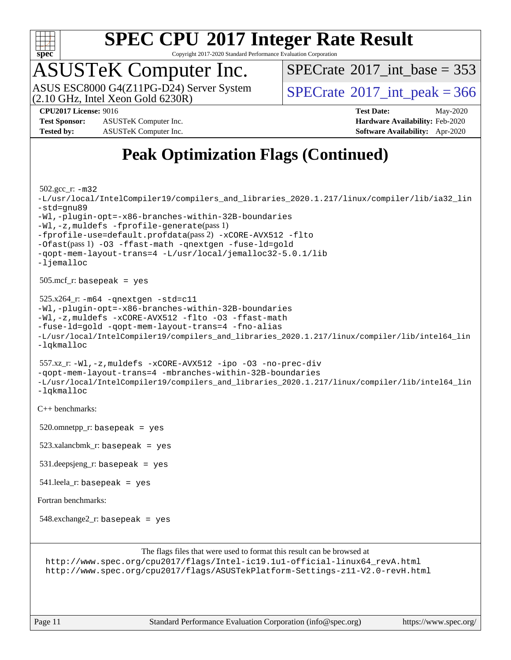

Copyright 2017-2020 Standard Performance Evaluation Corporation

# ASUSTeK Computer Inc.

ASUS ESC8000 G4(Z11PG-D24) Server System<br>(2.10 GHz, Intel Xeon Gold 6230R)

 $SPECTate$ <sup>®</sup>[2017\\_int\\_base =](http://www.spec.org/auto/cpu2017/Docs/result-fields.html#SPECrate2017intbase) 353

 $SPECTate@2017_int_ppeak = 366$ 

**[Test Sponsor:](http://www.spec.org/auto/cpu2017/Docs/result-fields.html#TestSponsor)** ASUSTeK Computer Inc. **[Hardware Availability:](http://www.spec.org/auto/cpu2017/Docs/result-fields.html#HardwareAvailability)** Feb-2020 **[Tested by:](http://www.spec.org/auto/cpu2017/Docs/result-fields.html#Testedby)** ASUSTeK Computer Inc. **[Software Availability:](http://www.spec.org/auto/cpu2017/Docs/result-fields.html#SoftwareAvailability)** Apr-2020

**[CPU2017 License:](http://www.spec.org/auto/cpu2017/Docs/result-fields.html#CPU2017License)** 9016 **[Test Date:](http://www.spec.org/auto/cpu2017/Docs/result-fields.html#TestDate)** May-2020

### **[Peak Optimization Flags \(Continued\)](http://www.spec.org/auto/cpu2017/Docs/result-fields.html#PeakOptimizationFlags)**

 502.gcc\_r: [-m32](http://www.spec.org/cpu2017/results/res2020q3/cpu2017-20200608-22598.flags.html#user_peakCCLD502_gcc_r_m32-icc) [-L/usr/local/IntelCompiler19/compilers\\_and\\_libraries\\_2020.1.217/linux/compiler/lib/ia32\\_lin](http://www.spec.org/cpu2017/results/res2020q3/cpu2017-20200608-22598.flags.html#user_peakCCLD502_gcc_r_linkpath_1b648dc083a6610e413f4e3f7afc604a24d17378f17ccd408506518e6231e99b67b6c9581aaca83ea9e1c966468a85aa236df4f978ab24cc5d9fdddb5cd5dbbb) [-std=gnu89](http://www.spec.org/cpu2017/results/res2020q3/cpu2017-20200608-22598.flags.html#user_peakCCLD502_gcc_r_f-std_f3cc2e520142451d42b8d64ee452c6877603de867a66777769b4e3f9b376c2a8742d66df6a4ffb5b483abd54df63aab35a2f4fe1181eb389a18cdcc50fd950e3) [-Wl,-plugin-opt=-x86-branches-within-32B-boundaries](http://www.spec.org/cpu2017/results/res2020q3/cpu2017-20200608-22598.flags.html#user_peakLDFLAGS502_gcc_r_f-x86-branches-within-32B-boundaries_0098b4e4317ae60947b7b728078a624952a08ac37a3c797dfb4ffeb399e0c61a9dd0f2f44ce917e9361fb9076ccb15e7824594512dd315205382d84209e912f3) [-Wl,-z,muldefs](http://www.spec.org/cpu2017/results/res2020q3/cpu2017-20200608-22598.flags.html#user_peakEXTRA_LDFLAGS502_gcc_r_link_force_multiple1_b4cbdb97b34bdee9ceefcfe54f4c8ea74255f0b02a4b23e853cdb0e18eb4525ac79b5a88067c842dd0ee6996c24547a27a4b99331201badda8798ef8a743f577) [-fprofile-generate](http://www.spec.org/cpu2017/results/res2020q3/cpu2017-20200608-22598.flags.html#user_peakPASS1_CFLAGSPASS1_LDFLAGS502_gcc_r_fprofile-generate)(pass 1) [-fprofile-use=default.profdata](http://www.spec.org/cpu2017/results/res2020q3/cpu2017-20200608-22598.flags.html#user_peakPASS2_CFLAGSPASS2_LDFLAGS502_gcc_r_fprofile-use_56aeee182b92ec249f9670f17c9b8e7d83fe2d25538e35a2cf64c434b579a2235a8b8fc66ef5678d24461366bbab9d486c870d8a72905233fc08e43eefe3cd80)(pass 2) [-xCORE-AVX512](http://www.spec.org/cpu2017/results/res2020q3/cpu2017-20200608-22598.flags.html#user_peakCOPTIMIZEPASS1_CFLAGSPASS1_LDFLAGS502_gcc_r_f-xCORE-AVX512) [-flto](http://www.spec.org/cpu2017/results/res2020q3/cpu2017-20200608-22598.flags.html#user_peakCOPTIMIZEPASS1_CFLAGSPASS1_LDFLAGS502_gcc_r_f-flto) [-Ofast](http://www.spec.org/cpu2017/results/res2020q3/cpu2017-20200608-22598.flags.html#user_peakPASS1_CFLAGSPASS1_LDFLAGS502_gcc_r_f-Ofast)(pass 1) [-O3](http://www.spec.org/cpu2017/results/res2020q3/cpu2017-20200608-22598.flags.html#user_peakCOPTIMIZE502_gcc_r_f-O3) [-ffast-math](http://www.spec.org/cpu2017/results/res2020q3/cpu2017-20200608-22598.flags.html#user_peakCOPTIMIZE502_gcc_r_f-ffast-math) [-qnextgen](http://www.spec.org/cpu2017/results/res2020q3/cpu2017-20200608-22598.flags.html#user_peakCOPTIMIZE502_gcc_r_f-qnextgen) [-fuse-ld=gold](http://www.spec.org/cpu2017/results/res2020q3/cpu2017-20200608-22598.flags.html#user_peakCOPTIMIZE502_gcc_r_f-fuse-ld_920b3586e2b8c6e0748b9c84fa9b744736ba725a32cab14ad8f3d4ad28eecb2f59d1144823d2e17006539a88734fe1fc08fc3035f7676166309105a78aaabc32) [-qopt-mem-layout-trans=4](http://www.spec.org/cpu2017/results/res2020q3/cpu2017-20200608-22598.flags.html#user_peakCOPTIMIZE502_gcc_r_f-qopt-mem-layout-trans_fa39e755916c150a61361b7846f310bcdf6f04e385ef281cadf3647acec3f0ae266d1a1d22d972a7087a248fd4e6ca390a3634700869573d231a252c784941a8) [-L/usr/local/jemalloc32-5.0.1/lib](http://www.spec.org/cpu2017/results/res2020q3/cpu2017-20200608-22598.flags.html#user_peakEXTRA_LIBS502_gcc_r_jemalloc_link_path32_1_3ce7b59db3b357dbaf7ad791266c9ba04a7e4933c209d6be2abbddfa003f7b11a662224df663b38de6e5da607f395338b5ea7f15fbbebbfcf43a38f170721399) [-ljemalloc](http://www.spec.org/cpu2017/results/res2020q3/cpu2017-20200608-22598.flags.html#user_peakEXTRA_LIBS502_gcc_r_jemalloc_link_lib_d1249b907c500fa1c0672f44f562e3d0f79738ae9e3c4a9c376d49f265a04b9c99b167ecedbf6711b3085be911c67ff61f150a17b3472be731631ba4d0471706) 505.mcf\_r: basepeak = yes 525.x264\_r: [-m64](http://www.spec.org/cpu2017/results/res2020q3/cpu2017-20200608-22598.flags.html#user_peakCCLD525_x264_r_m64-icc) [-qnextgen](http://www.spec.org/cpu2017/results/res2020q3/cpu2017-20200608-22598.flags.html#user_peakCCCOPTIMIZELD525_x264_r_f-qnextgen) [-std=c11](http://www.spec.org/cpu2017/results/res2020q3/cpu2017-20200608-22598.flags.html#user_peakCCLD525_x264_r_std-icc-std_0e1c27790398a4642dfca32ffe6c27b5796f9c2d2676156f2e42c9c44eaad0c049b1cdb667a270c34d979996257aeb8fc440bfb01818dbc9357bd9d174cb8524) [-Wl,-plugin-opt=-x86-branches-within-32B-boundaries](http://www.spec.org/cpu2017/results/res2020q3/cpu2017-20200608-22598.flags.html#user_peakLDFLAGS525_x264_r_f-x86-branches-within-32B-boundaries_0098b4e4317ae60947b7b728078a624952a08ac37a3c797dfb4ffeb399e0c61a9dd0f2f44ce917e9361fb9076ccb15e7824594512dd315205382d84209e912f3) [-Wl,-z,muldefs](http://www.spec.org/cpu2017/results/res2020q3/cpu2017-20200608-22598.flags.html#user_peakEXTRA_LDFLAGS525_x264_r_link_force_multiple1_b4cbdb97b34bdee9ceefcfe54f4c8ea74255f0b02a4b23e853cdb0e18eb4525ac79b5a88067c842dd0ee6996c24547a27a4b99331201badda8798ef8a743f577) [-xCORE-AVX512](http://www.spec.org/cpu2017/results/res2020q3/cpu2017-20200608-22598.flags.html#user_peakCOPTIMIZE525_x264_r_f-xCORE-AVX512) [-flto](http://www.spec.org/cpu2017/results/res2020q3/cpu2017-20200608-22598.flags.html#user_peakCOPTIMIZE525_x264_r_f-flto) [-O3](http://www.spec.org/cpu2017/results/res2020q3/cpu2017-20200608-22598.flags.html#user_peakCOPTIMIZE525_x264_r_f-O3) [-ffast-math](http://www.spec.org/cpu2017/results/res2020q3/cpu2017-20200608-22598.flags.html#user_peakCOPTIMIZE525_x264_r_f-ffast-math) [-fuse-ld=gold](http://www.spec.org/cpu2017/results/res2020q3/cpu2017-20200608-22598.flags.html#user_peakCOPTIMIZE525_x264_r_f-fuse-ld_920b3586e2b8c6e0748b9c84fa9b744736ba725a32cab14ad8f3d4ad28eecb2f59d1144823d2e17006539a88734fe1fc08fc3035f7676166309105a78aaabc32) [-qopt-mem-layout-trans=4](http://www.spec.org/cpu2017/results/res2020q3/cpu2017-20200608-22598.flags.html#user_peakCOPTIMIZE525_x264_r_f-qopt-mem-layout-trans_fa39e755916c150a61361b7846f310bcdf6f04e385ef281cadf3647acec3f0ae266d1a1d22d972a7087a248fd4e6ca390a3634700869573d231a252c784941a8) [-fno-alias](http://www.spec.org/cpu2017/results/res2020q3/cpu2017-20200608-22598.flags.html#user_peakEXTRA_OPTIMIZE525_x264_r_f-no-alias_77dbac10d91cbfe898fbf4a29d1b29b694089caa623bdd1baccc9957d4edbe8d106c0b357e2748a65b44fc9e83d78098bb898077f3fe92f9faf24f7bd4a07ed7) [-L/usr/local/IntelCompiler19/compilers\\_and\\_libraries\\_2020.1.217/linux/compiler/lib/intel64\\_lin](http://www.spec.org/cpu2017/results/res2020q3/cpu2017-20200608-22598.flags.html#user_peakEXTRA_LIBS525_x264_r_linkpath_2cb6f503891ebf8baee7515f4e7d4ec1217444d1d05903cc0091ac4158de400651d2b2313a9fa414cb8a8f0e16ab029634f5c6db340f400369c190d4db8a54a0) [-lqkmalloc](http://www.spec.org/cpu2017/results/res2020q3/cpu2017-20200608-22598.flags.html#user_peakEXTRA_LIBS525_x264_r_qkmalloc_link_lib_79a818439969f771c6bc311cfd333c00fc099dad35c030f5aab9dda831713d2015205805422f83de8875488a2991c0a156aaa600e1f9138f8fc37004abc96dc5) 557.xz\_r: [-Wl,-z,muldefs](http://www.spec.org/cpu2017/results/res2020q3/cpu2017-20200608-22598.flags.html#user_peakEXTRA_LDFLAGS557_xz_r_link_force_multiple1_b4cbdb97b34bdee9ceefcfe54f4c8ea74255f0b02a4b23e853cdb0e18eb4525ac79b5a88067c842dd0ee6996c24547a27a4b99331201badda8798ef8a743f577) [-xCORE-AVX512](http://www.spec.org/cpu2017/results/res2020q3/cpu2017-20200608-22598.flags.html#user_peakCOPTIMIZE557_xz_r_f-xCORE-AVX512) [-ipo](http://www.spec.org/cpu2017/results/res2020q3/cpu2017-20200608-22598.flags.html#user_peakCOPTIMIZE557_xz_r_f-ipo) [-O3](http://www.spec.org/cpu2017/results/res2020q3/cpu2017-20200608-22598.flags.html#user_peakCOPTIMIZE557_xz_r_f-O3) [-no-prec-div](http://www.spec.org/cpu2017/results/res2020q3/cpu2017-20200608-22598.flags.html#user_peakCOPTIMIZE557_xz_r_f-no-prec-div) [-qopt-mem-layout-trans=4](http://www.spec.org/cpu2017/results/res2020q3/cpu2017-20200608-22598.flags.html#user_peakCOPTIMIZE557_xz_r_f-qopt-mem-layout-trans_fa39e755916c150a61361b7846f310bcdf6f04e385ef281cadf3647acec3f0ae266d1a1d22d972a7087a248fd4e6ca390a3634700869573d231a252c784941a8) [-mbranches-within-32B-boundaries](http://www.spec.org/cpu2017/results/res2020q3/cpu2017-20200608-22598.flags.html#user_peakEXTRA_COPTIMIZE557_xz_r_f-mbranches-within-32B-boundaries) [-L/usr/local/IntelCompiler19/compilers\\_and\\_libraries\\_2020.1.217/linux/compiler/lib/intel64\\_lin](http://www.spec.org/cpu2017/results/res2020q3/cpu2017-20200608-22598.flags.html#user_peakEXTRA_LIBS557_xz_r_linkpath_2cb6f503891ebf8baee7515f4e7d4ec1217444d1d05903cc0091ac4158de400651d2b2313a9fa414cb8a8f0e16ab029634f5c6db340f400369c190d4db8a54a0) [-lqkmalloc](http://www.spec.org/cpu2017/results/res2020q3/cpu2017-20200608-22598.flags.html#user_peakEXTRA_LIBS557_xz_r_qkmalloc_link_lib_79a818439969f771c6bc311cfd333c00fc099dad35c030f5aab9dda831713d2015205805422f83de8875488a2991c0a156aaa600e1f9138f8fc37004abc96dc5) [C++ benchmarks](http://www.spec.org/auto/cpu2017/Docs/result-fields.html#CXXbenchmarks):  $520.$ omnetpp\_r: basepeak = yes 523.xalancbmk\_r: basepeak = yes 531.deepsjeng\_r: basepeak = yes 541.leela\_r: basepeak = yes [Fortran benchmarks:](http://www.spec.org/auto/cpu2017/Docs/result-fields.html#Fortranbenchmarks)  $548$ .exchange $2$ \_r: basepeak = yes [The flags files that were used to format this result can be browsed at](tmsearch) [http://www.spec.org/cpu2017/flags/Intel-ic19.1u1-official-linux64\\_revA.html](http://www.spec.org/cpu2017/flags/Intel-ic19.1u1-official-linux64_revA.html) <http://www.spec.org/cpu2017/flags/ASUSTekPlatform-Settings-z11-V2.0-revH.html>